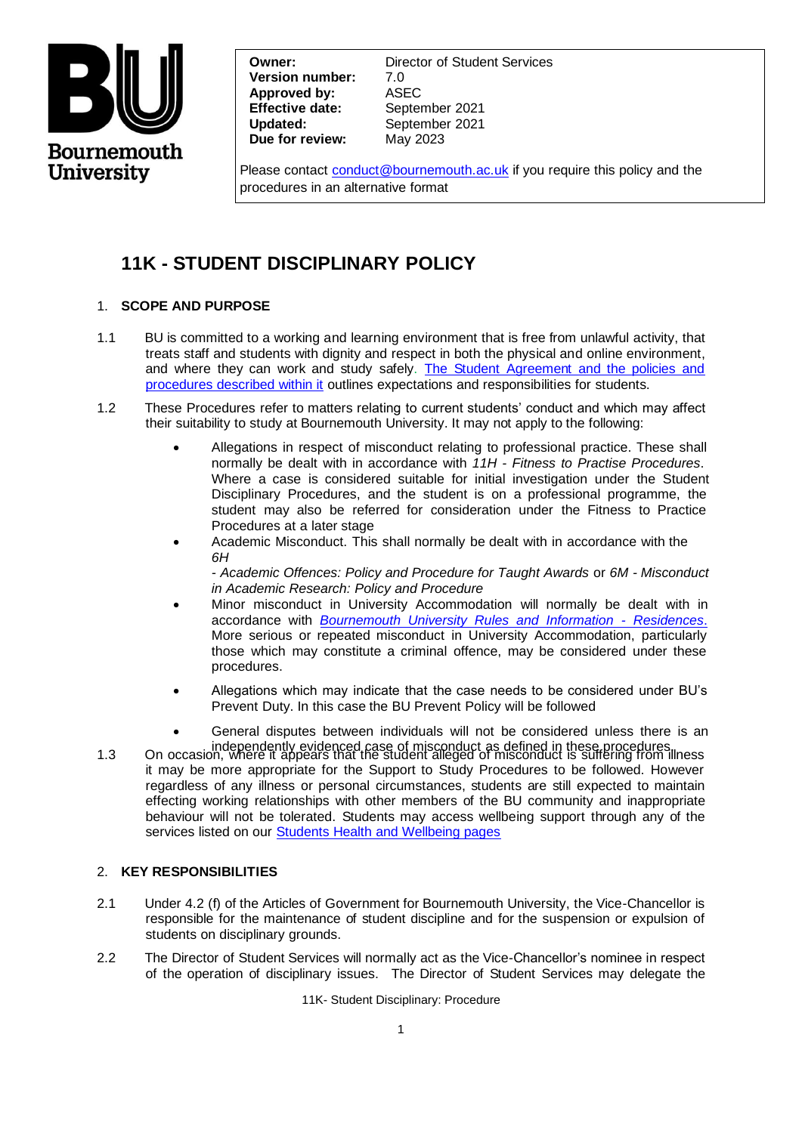

**Version number:** 7.0 **Approved by:** ASEC **Effective date:** September 2021 **Updated:** September 2021 **Due for review:** May 2023

**Owner:** Director of Student Services

Please contact [conduct@bournemouth.ac.uk](mailto:CONDUCT@BOURNEMOUTH.AC.UK) if you require this policy and the procedures in an alternative format

# **11K - STUDENT DISCIPLINARY POLICY**

# 1. **SCOPE AND PURPOSE**

- 1.1 BU is committed to a working and learning environment that is free from unlawful activity, that treats staff and students with dignity and respect in both the physical and online environment, and where they can work and study safely. [The Student Agreement and the policies and](https://www.bournemouth.ac.uk/students/help-advice/important-information)  [procedures described within it](https://www.bournemouth.ac.uk/students/help-advice/important-information) outlines expectations and responsibilities for students.
- 1.2 These Procedures refer to matters relating to current students' conduct and which may affect their suitability to study at Bournemouth University. It may not apply to the following:
	- Allegations in respect of misconduct relating to professional practice. These shall normally be dealt with in accordance with *11H - Fitness to Practise Procedures*. Where a case is considered suitable for initial investigation under the Student Disciplinary Procedures, and the student is on a professional programme, the student may also be referred for consideration under the Fitness to Practice Procedures at a later stage
	- Academic Misconduct. This shall normally be dealt with in accordance with the *6H*

*- Academic Offences: Policy and Procedure for Taught Awards* or *6M - Misconduct in Academic Research: Policy and Procedure*

- Minor miscondu[ct in University Accommodation will](https://www1.bournemouth.ac.uk/sites/default/files/asset/document/rules-and-information-2016-17-FINAL.pdf) normally be dealt with in accordance with *[Bournemouth University Rules and Information - Residences](https://www.bournemouth.ac.uk/sites/default/files/asset/document/rules_and_information_21_22.pdf)*. More serious or repeated misconduct in University Accommodation, particularly those which may constitute a criminal offence, may be considered under these procedures.
- Allegations which may indicate that the case needs to be considered under BU's Prevent Duty. In this case the BU Prevent Policy will be followed
- General disputes between individuals will not be considered unless there is an
- independently evidenced case of misconduct as defined in these procedures.<br>1.3 On occasion, where it appears that the student alleged of misconduct is suffering from illness it may be more appropriate for the Support to Study Procedures to be followed. However regardless of any illness or personal circumstances, students are still expected to maintain effecting working relationships with other members of the BU community and inappropriate behaviour will not be tolerated. Students may access wellbeing support through any of the services listed on our [Students Health and Wellbeing pages](https://www.bournemouth.ac.uk/students/health-wellbeing/wellbeing-resources-z/sexual-health)

# 2. **KEY RESPONSIBILITIES**

- 2.1 Under 4.2 (f) of the Articles of Government for Bournemouth University, the Vice-Chancellor is responsible for the maintenance of student discipline and for the suspension or expulsion of students on disciplinary grounds.
- 2.2 The Director of Student Services will normally act as the Vice-Chancellor's nominee in respect of the operation of disciplinary issues. The Director of Student Services may delegate the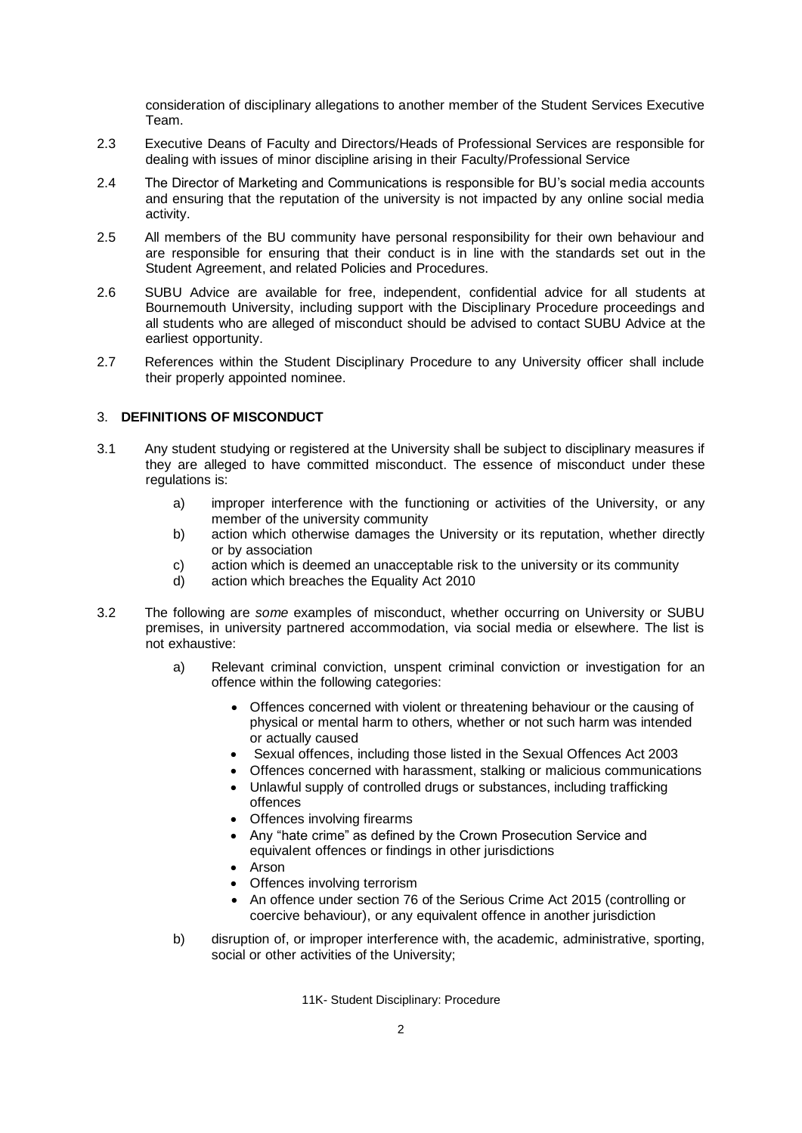consideration of disciplinary allegations to another member of the Student Services Executive Team.

- 2.3 Executive Deans of Faculty and Directors/Heads of Professional Services are responsible for dealing with issues of minor discipline arising in their Faculty/Professional Service
- 2.4 The Director of Marketing and Communications is responsible for BU's social media accounts and ensuring that the reputation of the university is not impacted by any online social media activity.
- 2.5 All members of the BU community have personal responsibility for their own behaviour and are responsible for ensuring that their conduct is in line with the standards set out in the Student Agreement, and related Policies and Procedures.
- 2.6 SUBU Advice are available for free, independent, confidential advice for all students at Bournemouth University, including support with the Disciplinary Procedure proceedings and all students who are alleged of misconduct should be advised to contact SUBU Advice at the earliest opportunity.
- 2.7 References within the Student Disciplinary Procedure to any University officer shall include their properly appointed nominee.

## 3. **DEFINITIONS OF MISCONDUCT**

- 3.1 Any student studying or registered at the University shall be subject to disciplinary measures if they are alleged to have committed misconduct. The essence of misconduct under these regulations is:
	- a) improper interference with the functioning or activities of the University, or any member of the university community
	- b) action which otherwise damages the University or its reputation, whether directly or by association
	- c) action which is deemed an unacceptable risk to the university or its community
	- d) action which breaches the Equality Act 2010
- 3.2 The following are *some* examples of misconduct, whether occurring on University or SUBU premises, in university partnered accommodation, via social media or elsewhere. The list is not exhaustive:
	- a) Relevant criminal conviction, unspent criminal conviction or investigation for an offence within the following categories:
		- Offences concerned with violent or threatening behaviour or the causing of physical or mental harm to others, whether or not such harm was intended or actually caused
		- Sexual offences, including those listed in the Sexual Offences Act 2003
		- Offences concerned with harassment, stalking or malicious communications
		- Unlawful supply of controlled drugs or substances, including trafficking offences
		- Offences involving firearms
		- Any "hate crime" as defined by the Crown Prosecution Service and equivalent offences or findings in other jurisdictions
		- Arson
		- Offences involving terrorism
		- An offence under section 76 of the Serious Crime Act 2015 (controlling or coercive behaviour), or any equivalent offence in another jurisdiction
	- b) disruption of, or improper interference with, the academic, administrative, sporting, social or other activities of the University;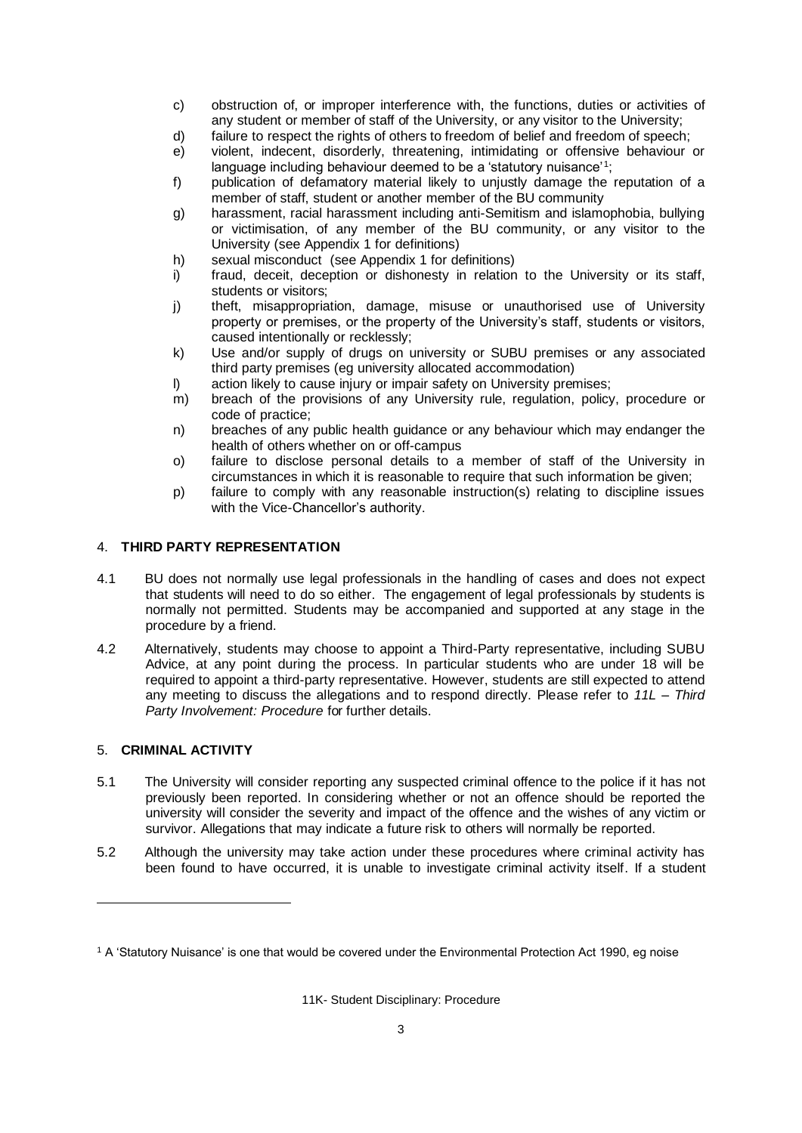- c) obstruction of, or improper interference with, the functions, duties or activities of any student or member of staff of the University, or any visitor to the University;
- d) failure to respect the rights of others to freedom of belief and freedom of speech;
- e) violent, indecent, disorderly, threatening, intimidating or offensive behaviour or language including behaviour deemed to be a 'statutory nuisance'<sup>1</sup>;
- f) publication of defamatory material likely to unjustly damage the reputation of a member of staff, student or another member of the BU community
- g) harassment, racial harassment including anti-Semitism and islamophobia, bullying or victimisation, of any member of the BU community, or any visitor to the University (see Appendix 1 for definitions)
- h) sexual misconduct (see Appendix 1 for definitions)
- i) fraud, deceit, deception or dishonesty in relation to the University or its staff, students or visitors;
- j) theft, misappropriation, damage, misuse or unauthorised use of University property or premises, or the property of the University's staff, students or visitors, caused intentionally or recklessly;
- k) Use and/or supply of drugs on university or SUBU premises or any associated third party premises (eg university allocated accommodation)
- l) action likely to cause injury or impair safety on University premises;
- m) breach of the provisions of any University rule, regulation, policy, procedure or code of practice;
- n) breaches of any public health guidance or any behaviour which may endanger the health of others whether on or off-campus
- o) failure to disclose personal details to a member of staff of the University in circumstances in which it is reasonable to require that such information be given;
- p) failure to comply with any reasonable instruction(s) relating to discipline issues with the Vice-Chancellor's authority.

## 4. **THIRD PARTY REPRESENTATION**

- 4.1 BU does not normally use legal professionals in the handling of cases and does not expect that students will need to do so either. The engagement of legal professionals by students is normally not permitted. Students may be accompanied and supported at any stage in the procedure by a friend.
- 4.2 Alternatively, students may choose to appoint a Third-Party representative, including SUBU Advice, at any point during the process. In particular students who are under 18 will be required to appoint a third-party representative. However, students are still expected to attend any meeting to discuss the allegations and to respond directly. Please refer to *11L – Third Party Involvement: Procedure* for further details.

# 5. **CRIMINAL ACTIVITY**

- 5.1 The University will consider reporting any suspected criminal offence to the police if it has not previously been reported. In considering whether or not an offence should be reported the university will consider the severity and impact of the offence and the wishes of any victim or survivor. Allegations that may indicate a future risk to others will normally be reported.
- 5.2 Although the university may take action under these procedures where criminal activity has been found to have occurred, it is unable to investigate criminal activity itself. If a student

<sup>1</sup> A 'Statutory Nuisance' is one that would be covered under the Environmental Protection Act 1990, eg noise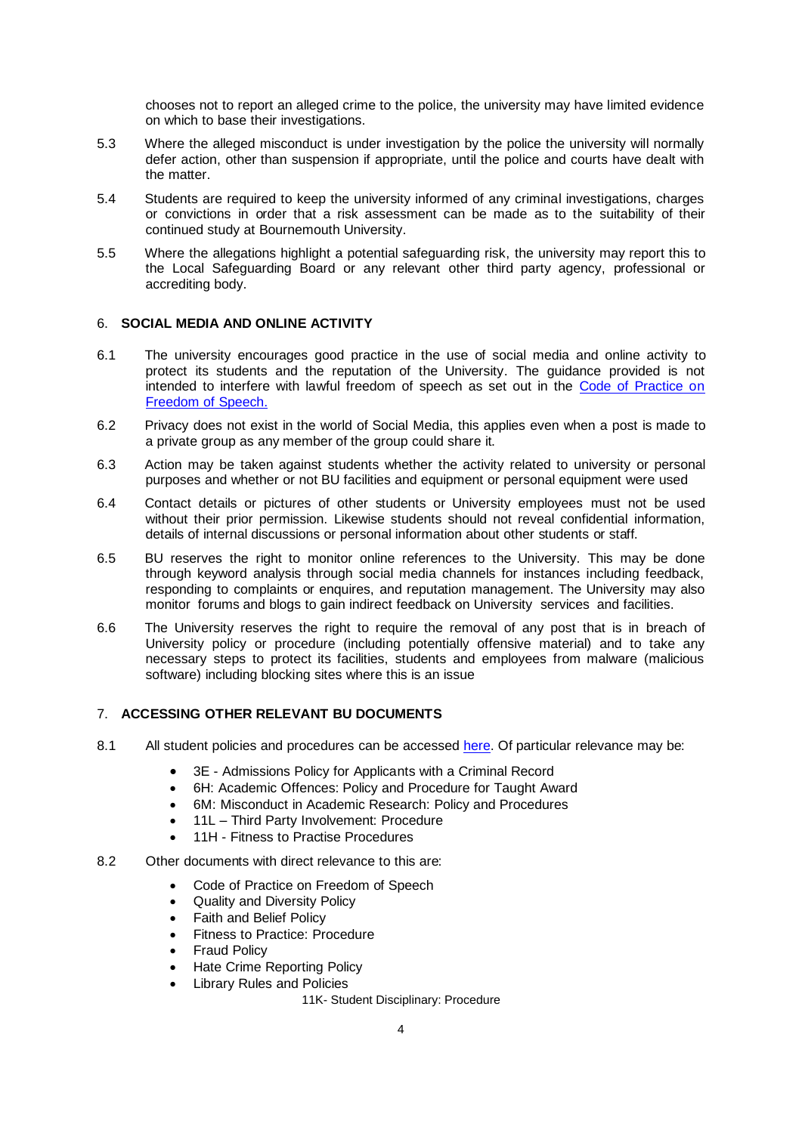chooses not to report an alleged crime to the police, the university may have limited evidence on which to base their investigations.

- 5.3 Where the alleged misconduct is under investigation by the police the university will normally defer action, other than suspension if appropriate, until the police and courts have dealt with the matter.
- 5.4 Students are required to keep the university informed of any criminal investigations, charges or convictions in order that a risk assessment can be made as to the suitability of their continued study at Bournemouth University.
- 5.5 Where the allegations highlight a potential safeguarding risk, the university may report this to the Local Safeguarding Board or any relevant other third party agency, professional or accrediting body.

## 6. **SOCIAL MEDIA AND ONLINE ACTIVITY**

- 6.1 The university encourages good practice in the use of social media and online activity to protect its students and the reputation of the University. The guidance provided is not intended to interfere with lawful freedom of speech as set out in the [Code of Practice on](https://intranetsp.bournemouth.ac.uk/policy/CodeofPracticeonFreedomofSpeech.pdf)  [Freedom of Speech.](https://intranetsp.bournemouth.ac.uk/policy/CodeofPracticeonFreedomofSpeech.pdf)
- 6.2 Privacy does not exist in the world of Social Media, this applies even when a post is made to a private group as any member of the group could share it.
- 6.3 Action may be taken against students whether the activity related to university or personal purposes and whether or not BU facilities and equipment or personal equipment were used
- 6.4 Contact details or pictures of other students or University employees must not be used without their prior permission. Likewise students should not reveal confidential information, details of internal discussions or personal information about other students or staff.
- 6.5 BU reserves the right to monitor online references to the University. This may be done through keyword analysis through social media channels for instances including feedback, responding to complaints or enquires, and reputation management. The University may also monitor forums and blogs to gain indirect feedback on University services and facilities.
- 6.6 The University reserves the right to require the removal of any post that is in breach of University policy or procedure (including potentially offensive material) and to take any necessary steps to protect its facilities, students and employees from malware (malicious software) including blocking sites where this is an issue

## 7. **ACCESSING OTHER RELEVANT BU DOCUMENTS**

- 8.1 All student policies and procedures can be accesse[d here.](https://www.bournemouth.ac.uk/students/help-advice/important-information) Of particular relevance may be:
	- 3E Admissions Policy for Applicants with a Criminal Record
	- 6H: Academic Offences: Policy and Procedure for Taught Award
	- 6M: Misconduct in Academic Research: Policy and Procedures
	- 11L Third Party Involvement: Procedure
	- 11H Fitness to Practise Procedures
- 8.2 Other documents with direct relevance to this are:
	- Code of Practice on Freedom of Speech
	- Quality and Diversity Policy
	- Faith and Belief Policy
	- Fitness to Practice: Procedure
	- **Fraud Policy**
	- Hate Crime Reporting Policy
	- Library Rules and Policies
		- 11K- Student Disciplinary: Procedure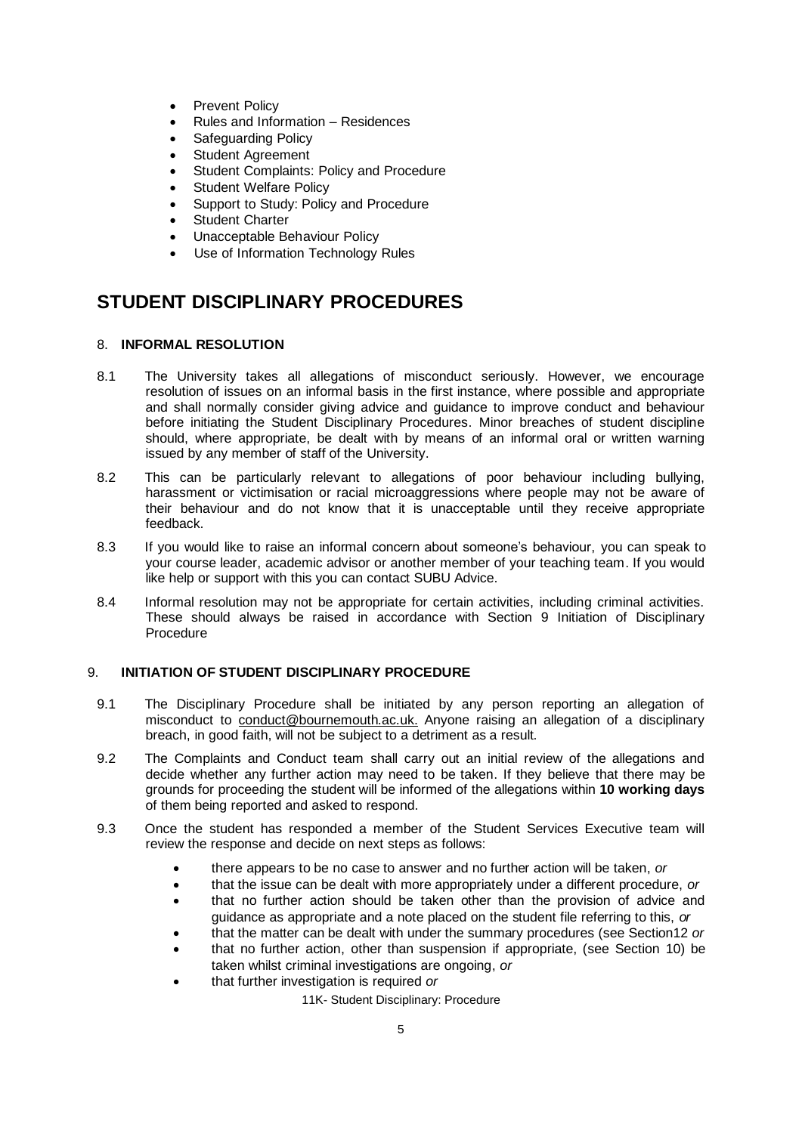- Prevent Policy
- Rules and Information Residences
- Safeguarding Policy
- Student Agreement
- Student Complaints: Policy and Procedure
- Student Welfare Policy
- Support to Study: Policy and Procedure
- Student Charter
- Unacceptable Behaviour Policy
- Use of Information Technology Rules

# **STUDENT DISCIPLINARY PROCEDURES**

#### 8. **INFORMAL RESOLUTION**

- 8.1 The University takes all allegations of misconduct seriously. However, we encourage resolution of issues on an informal basis in the first instance, where possible and appropriate and shall normally consider giving advice and guidance to improve conduct and behaviour before initiating the Student Disciplinary Procedures. Minor breaches of student discipline should, where appropriate, be dealt with by means of an informal oral or written warning issued by any member of staff of the University.
- 8.2 This can be particularly relevant to allegations of poor behaviour including bullying, harassment or victimisation or racial microaggressions where people may not be aware of their behaviour and do not know that it is unacceptable until they receive appropriate feedback.
- 8.3 If you would like to raise an informal concern about someone's behaviour, you can speak to your course leader, academic advisor or another member of your teaching team. If you would like help or support with this you can contact SUBU Advice.
- 8.4 Informal resolution may not be appropriate for certain activities, including criminal activities. These should always be raised in accordance with Section 9 Initiation of Disciplinary Procedure

#### 9. **INITIATION OF STUDENT DISCIPLINARY PROCEDURE**

- 9.1 The Disciplinary Procedure shall be initiated by any person reporting an allegation of misconduct to [conduct@bournemouth.ac.uk.](mailto:conduct@bournemouth.ac.uk) Anyone raising an allegation of a disciplinary breach, in good faith, will not be subject to a detriment as a result.
- 9.2 The Complaints and Conduct team shall carry out an initial review of the allegations and decide whether any further action may need to be taken. If they believe that there may be grounds for proceeding the student will be informed of the allegations within **10 working days** of them being reported and asked to respond.
- 9.3 Once the student has responded a member of the Student Services Executive team will review the response and decide on next steps as follows:
	- there appears to be no case to answer and no further action will be taken, *or*
	- that the issue can be dealt with more appropriately under a different procedure, *or*
	- that no further action should be taken other than the provision of advice and guidance as appropriate and a note placed on the student file referring to this, *or*
	- that the matter can be dealt with under the summary procedures (see Section12 *or*
	- that no further action, other than suspension if appropriate, (see Section 10) be taken whilst criminal investigations are ongoing, *or*
	- that further investigation is required *or*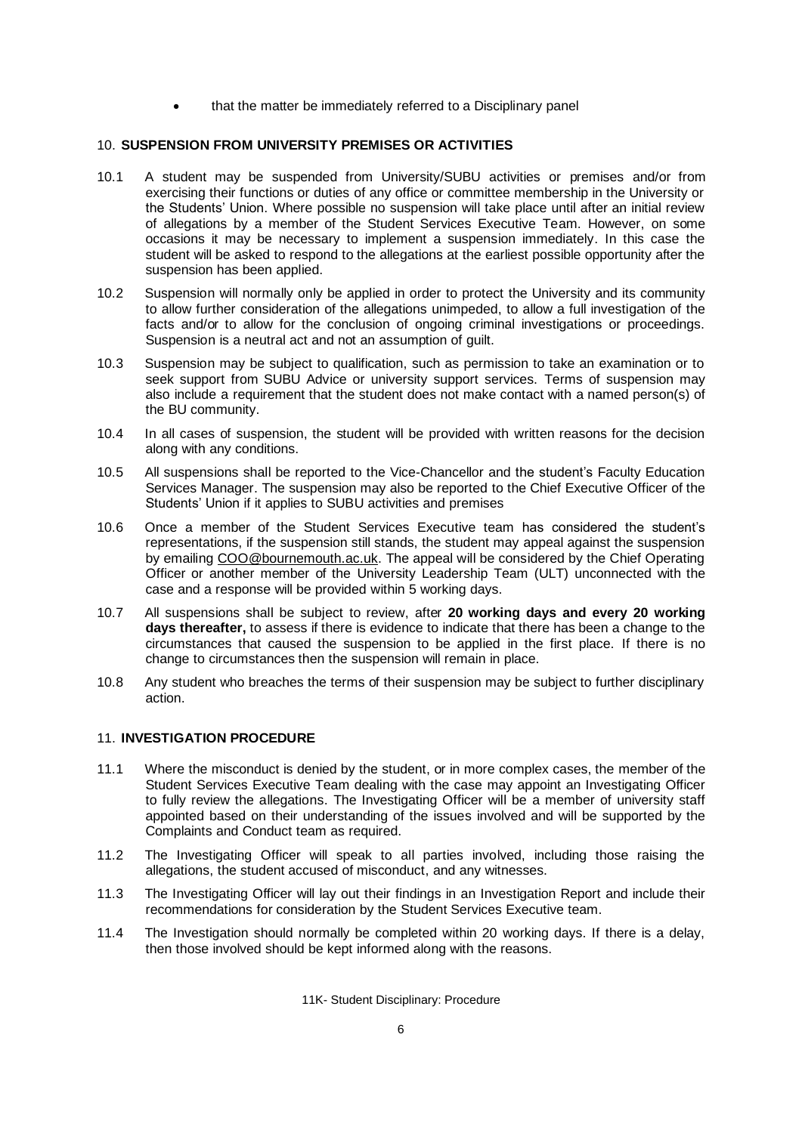• that the matter be immediately referred to a Disciplinary panel

## 10. **SUSPENSION FROM UNIVERSITY PREMISES OR ACTIVITIES**

- 10.1 A student may be suspended from University/SUBU activities or premises and/or from exercising their functions or duties of any office or committee membership in the University or the Students' Union. Where possible no suspension will take place until after an initial review of allegations by a member of the Student Services Executive Team. However, on some occasions it may be necessary to implement a suspension immediately. In this case the student will be asked to respond to the allegations at the earliest possible opportunity after the suspension has been applied.
- 10.2 Suspension will normally only be applied in order to protect the University and its community to allow further consideration of the allegations unimpeded, to allow a full investigation of the facts and/or to allow for the conclusion of ongoing criminal investigations or proceedings. Suspension is a neutral act and not an assumption of guilt.
- 10.3 Suspension may be subject to qualification, such as permission to take an examination or to seek support from SUBU Advice or university support services. Terms of suspension may also include a requirement that the student does not make contact with a named person(s) of the BU community.
- 10.4 In all cases of suspension, the student will be provided with written reasons for the decision along with any conditions.
- 10.5 All suspensions shall be reported to the Vice-Chancellor and the student's Faculty Education Services Manager. The suspension may also be reported to the Chief Executive Officer of the Students' Union if it applies to SUBU activities and premises
- 10.6 Once a member of the Student Services Executive team has considered the student's representations, if the suspension still stands, the student may appeal against the suspension by emailing [COO@bournemouth.ac.uk.](mailto:COO@bournemouth.ac.uk) The appeal will be considered by the Chief Operating Officer or another member of the University Leadership Team (ULT) unconnected with the case and a response will be provided within 5 working days.
- 10.7 All suspensions shall be subject to review, after **20 working days and every 20 working days thereafter,** to assess if there is evidence to indicate that there has been a change to the circumstances that caused the suspension to be applied in the first place. If there is no change to circumstances then the suspension will remain in place.
- 10.8 Any student who breaches the terms of their suspension may be subject to further disciplinary action.

#### 11. **INVESTIGATION PROCEDURE**

- 11.1 Where the misconduct is denied by the student, or in more complex cases, the member of the Student Services Executive Team dealing with the case may appoint an Investigating Officer to fully review the allegations. The Investigating Officer will be a member of university staff appointed based on their understanding of the issues involved and will be supported by the Complaints and Conduct team as required.
- 11.2 The Investigating Officer will speak to all parties involved, including those raising the allegations, the student accused of misconduct, and any witnesses.
- 11.3 The Investigating Officer will lay out their findings in an Investigation Report and include their recommendations for consideration by the Student Services Executive team.
- 11.4 The Investigation should normally be completed within 20 working days. If there is a delay, then those involved should be kept informed along with the reasons.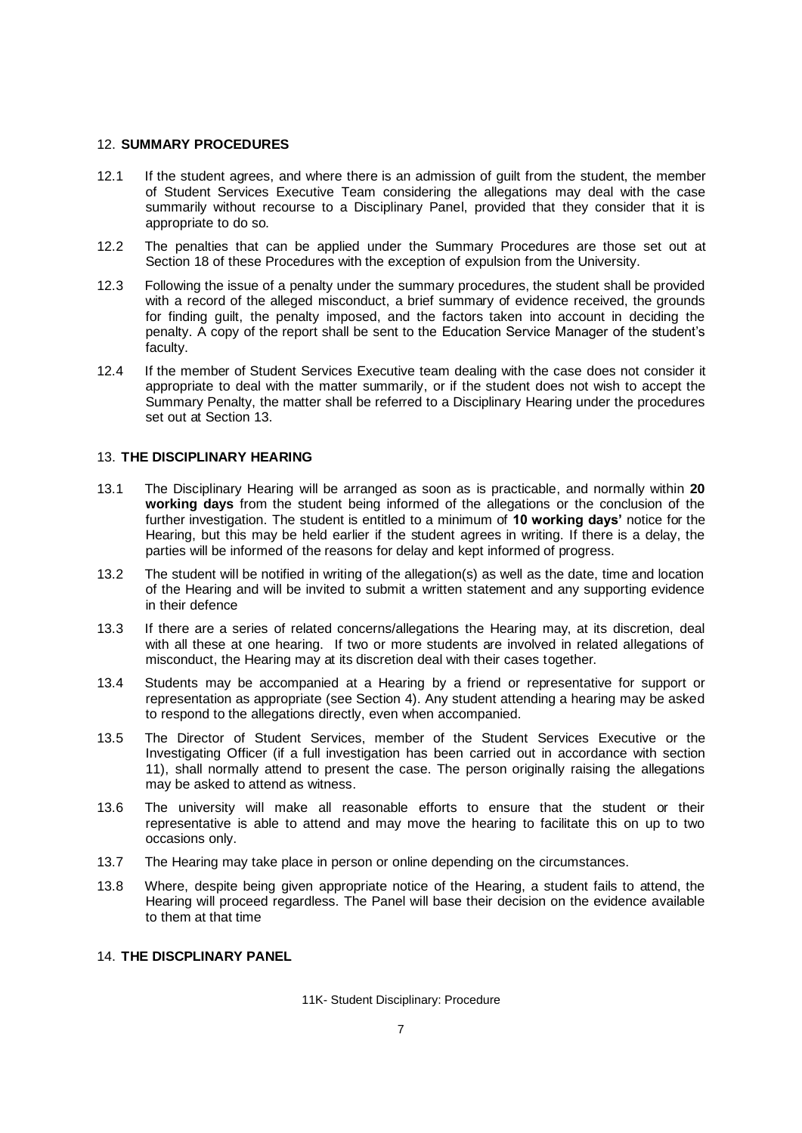#### 12. **SUMMARY PROCEDURES**

- 12.1 If the student agrees, and where there is an admission of guilt from the student, the member of Student Services Executive Team considering the allegations may deal with the case summarily without recourse to a Disciplinary Panel, provided that they consider that it is appropriate to do so.
- 12.2 The penalties that can be applied under the Summary Procedures are those set out at Section 18 of these Procedures with the exception of expulsion from the University.
- 12.3 Following the issue of a penalty under the summary procedures, the student shall be provided with a record of the alleged misconduct, a brief summary of evidence received, the grounds for finding guilt, the penalty imposed, and the factors taken into account in deciding the penalty. A copy of the report shall be sent to the Education Service Manager of the student's faculty.
- 12.4 If the member of Student Services Executive team dealing with the case does not consider it appropriate to deal with the matter summarily, or if the student does not wish to accept the Summary Penalty, the matter shall be referred to a Disciplinary Hearing under the procedures set out at Section 13.

#### 13. **THE DISCIPLINARY HEARING**

- 13.1 The Disciplinary Hearing will be arranged as soon as is practicable, and normally within **20 working days** from the student being informed of the allegations or the conclusion of the further investigation. The student is entitled to a minimum of **10 working days'** notice for the Hearing, but this may be held earlier if the student agrees in writing. If there is a delay, the parties will be informed of the reasons for delay and kept informed of progress.
- 13.2 The student will be notified in writing of the allegation(s) as well as the date, time and location of the Hearing and will be invited to submit a written statement and any supporting evidence in their defence
- 13.3 If there are a series of related concerns/allegations the Hearing may, at its discretion, deal with all these at one hearing. If two or more students are involved in related allegations of misconduct, the Hearing may at its discretion deal with their cases together.
- 13.4 Students may be accompanied at a Hearing by a friend or representative for support or representation as appropriate (see Section 4). Any student attending a hearing may be asked to respond to the allegations directly, even when accompanied.
- 13.5 The Director of Student Services, member of the Student Services Executive or the Investigating Officer (if a full investigation has been carried out in accordance with section 11), shall normally attend to present the case. The person originally raising the allegations may be asked to attend as witness.
- 13.6 The university will make all reasonable efforts to ensure that the student or their representative is able to attend and may move the hearing to facilitate this on up to two occasions only.
- 13.7 The Hearing may take place in person or online depending on the circumstances.
- 13.8 Where, despite being given appropriate notice of the Hearing, a student fails to attend, the Hearing will proceed regardless. The Panel will base their decision on the evidence available to them at that time

# 14. **THE DISCPLINARY PANEL**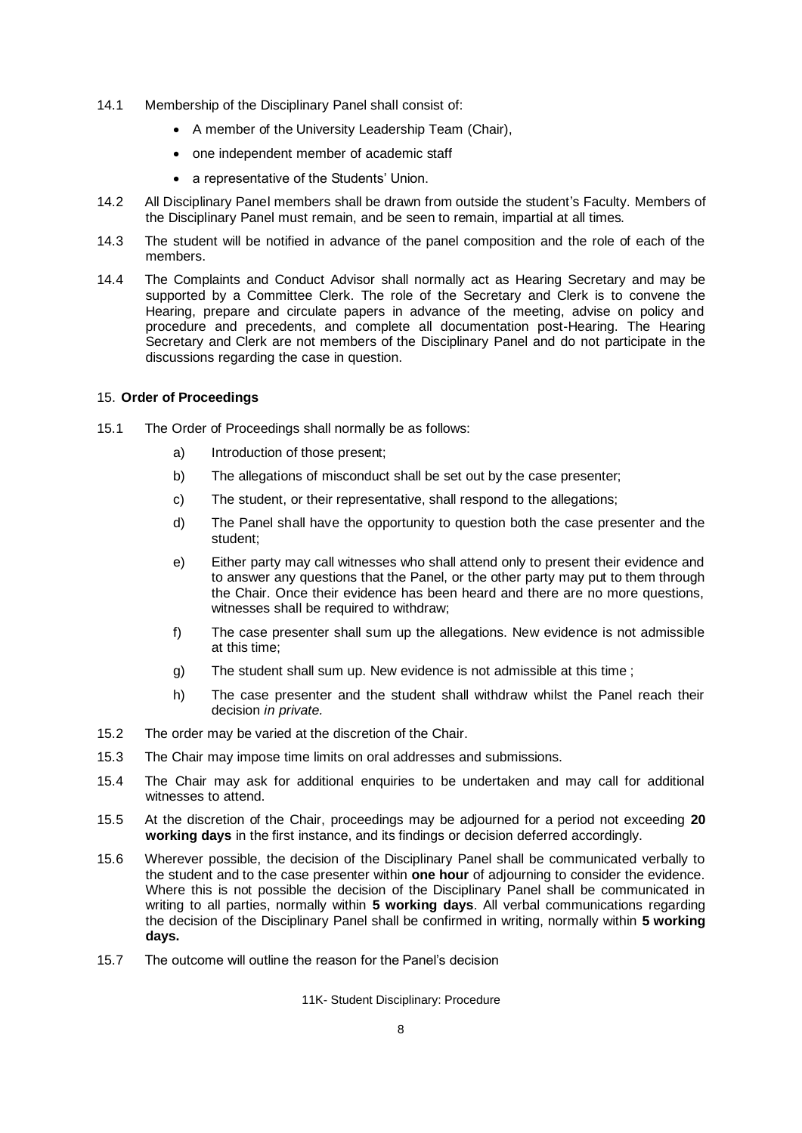- 14.1 Membership of the Disciplinary Panel shall consist of:
	- A member of the University Leadership Team (Chair),
	- one independent member of academic staff
	- a representative of the Students' Union.
- 14.2 All Disciplinary Panel members shall be drawn from outside the student's Faculty. Members of the Disciplinary Panel must remain, and be seen to remain, impartial at all times.
- 14.3 The student will be notified in advance of the panel composition and the role of each of the members.
- 14.4 The Complaints and Conduct Advisor shall normally act as Hearing Secretary and may be supported by a Committee Clerk. The role of the Secretary and Clerk is to convene the Hearing, prepare and circulate papers in advance of the meeting, advise on policy and procedure and precedents, and complete all documentation post-Hearing. The Hearing Secretary and Clerk are not members of the Disciplinary Panel and do not participate in the discussions regarding the case in question.

#### 15. **Order of Proceedings**

- 15.1 The Order of Proceedings shall normally be as follows:
	- a) Introduction of those present;
	- b) The allegations of misconduct shall be set out by the case presenter;
	- c) The student, or their representative, shall respond to the allegations;
	- d) The Panel shall have the opportunity to question both the case presenter and the student;
	- e) Either party may call witnesses who shall attend only to present their evidence and to answer any questions that the Panel, or the other party may put to them through the Chair. Once their evidence has been heard and there are no more questions, witnesses shall be required to withdraw;
	- f) The case presenter shall sum up the allegations. New evidence is not admissible at this time;
	- g) The student shall sum up. New evidence is not admissible at this time ;
	- h) The case presenter and the student shall withdraw whilst the Panel reach their decision *in private.*
- 15.2 The order may be varied at the discretion of the Chair.
- 15.3 The Chair may impose time limits on oral addresses and submissions.
- 15.4 The Chair may ask for additional enquiries to be undertaken and may call for additional witnesses to attend.
- 15.5 At the discretion of the Chair, proceedings may be adjourned for a period not exceeding **20 working days** in the first instance, and its findings or decision deferred accordingly.
- 15.6 Wherever possible, the decision of the Disciplinary Panel shall be communicated verbally to the student and to the case presenter within **one hour** of adjourning to consider the evidence. Where this is not possible the decision of the Disciplinary Panel shall be communicated in writing to all parties, normally within **5 working days**. All verbal communications regarding the decision of the Disciplinary Panel shall be confirmed in writing, normally within **5 working days.**
- 15.7 The outcome will outline the reason for the Panel's decision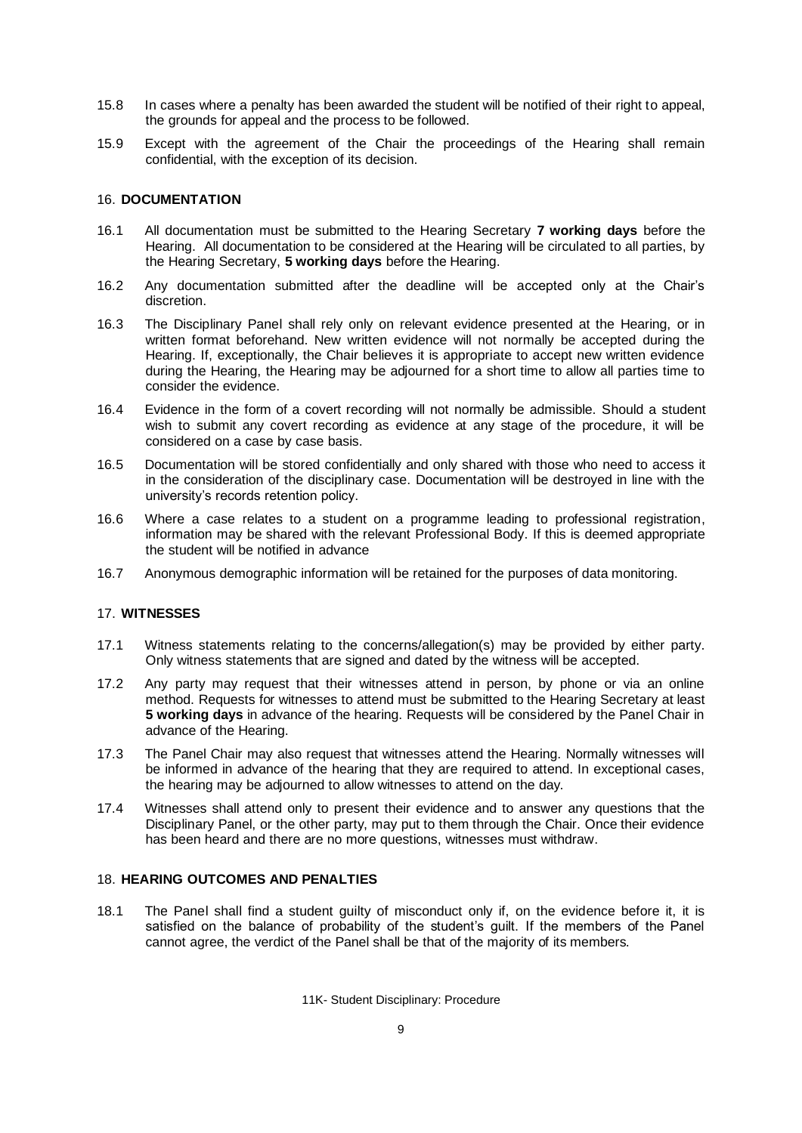- 15.8 In cases where a penalty has been awarded the student will be notified of their right to appeal, the grounds for appeal and the process to be followed.
- 15.9 Except with the agreement of the Chair the proceedings of the Hearing shall remain confidential, with the exception of its decision.

# 16. **DOCUMENTATION**

- 16.1 All documentation must be submitted to the Hearing Secretary **7 working days** before the Hearing. All documentation to be considered at the Hearing will be circulated to all parties, by the Hearing Secretary, **5 working days** before the Hearing.
- 16.2 Any documentation submitted after the deadline will be accepted only at the Chair's discretion.
- 16.3 The Disciplinary Panel shall rely only on relevant evidence presented at the Hearing, or in written format beforehand. New written evidence will not normally be accepted during the Hearing. If, exceptionally, the Chair believes it is appropriate to accept new written evidence during the Hearing, the Hearing may be adjourned for a short time to allow all parties time to consider the evidence.
- 16.4 Evidence in the form of a covert recording will not normally be admissible. Should a student wish to submit any covert recording as evidence at any stage of the procedure, it will be considered on a case by case basis.
- 16.5 Documentation will be stored confidentially and only shared with those who need to access it in the consideration of the disciplinary case. Documentation will be destroyed in line with the university's records retention policy.
- 16.6 Where a case relates to a student on a programme leading to professional registration, information may be shared with the relevant Professional Body. If this is deemed appropriate the student will be notified in advance
- 16.7 Anonymous demographic information will be retained for the purposes of data monitoring.

#### 17. **WITNESSES**

- 17.1 Witness statements relating to the concerns/allegation(s) may be provided by either party. Only witness statements that are signed and dated by the witness will be accepted.
- 17.2 Any party may request that their witnesses attend in person, by phone or via an online method. Requests for witnesses to attend must be submitted to the Hearing Secretary at least **5 working days** in advance of the hearing. Requests will be considered by the Panel Chair in advance of the Hearing.
- 17.3 The Panel Chair may also request that witnesses attend the Hearing. Normally witnesses will be informed in advance of the hearing that they are required to attend. In exceptional cases, the hearing may be adjourned to allow witnesses to attend on the day.
- 17.4 Witnesses shall attend only to present their evidence and to answer any questions that the Disciplinary Panel, or the other party, may put to them through the Chair. Once their evidence has been heard and there are no more questions, witnesses must withdraw.

# 18. **HEARING OUTCOMES AND PENALTIES**

18.1 The Panel shall find a student guilty of misconduct only if, on the evidence before it, it is satisfied on the balance of probability of the student's guilt. If the members of the Panel cannot agree, the verdict of the Panel shall be that of the majority of its members.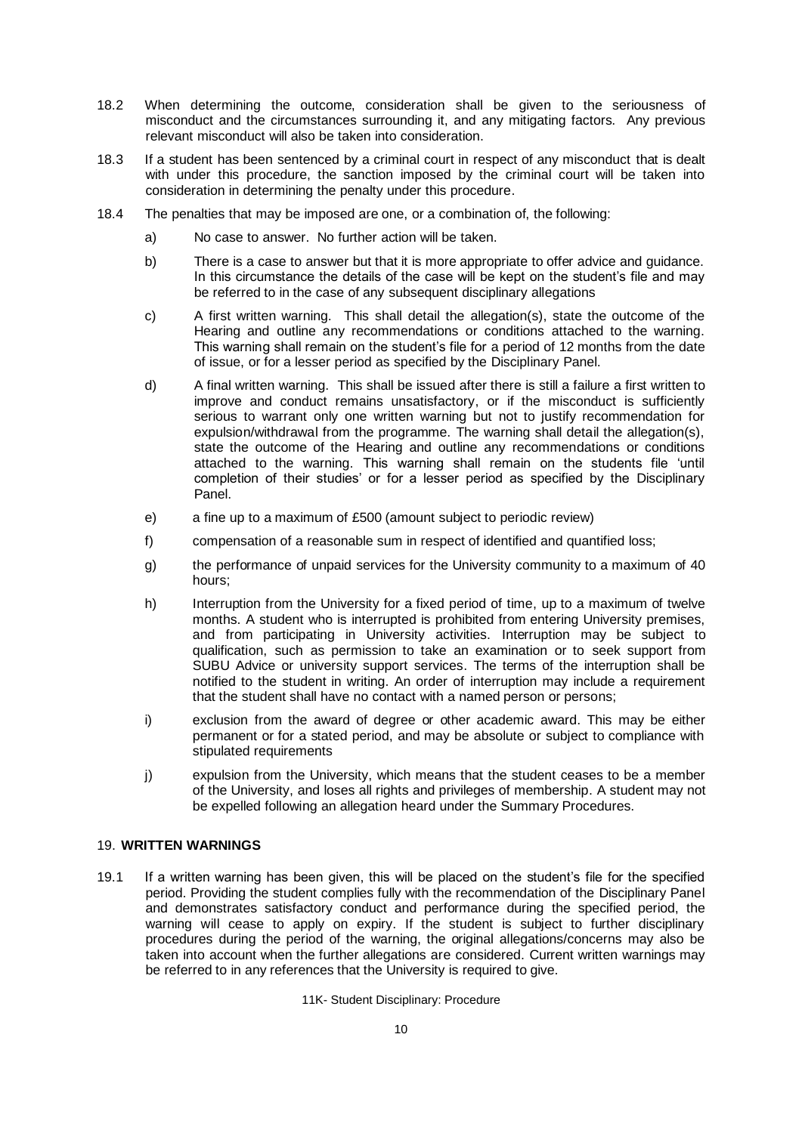- 18.2 When determining the outcome, consideration shall be given to the seriousness of misconduct and the circumstances surrounding it, and any mitigating factors. Any previous relevant misconduct will also be taken into consideration.
- 18.3 If a student has been sentenced by a criminal court in respect of any misconduct that is dealt with under this procedure, the sanction imposed by the criminal court will be taken into consideration in determining the penalty under this procedure.
- 18.4 The penalties that may be imposed are one, or a combination of, the following:
	- a) No case to answer. No further action will be taken.
	- b) There is a case to answer but that it is more appropriate to offer advice and guidance. In this circumstance the details of the case will be kept on the student's file and may be referred to in the case of any subsequent disciplinary allegations
	- c) A first written warning. This shall detail the allegation(s), state the outcome of the Hearing and outline any recommendations or conditions attached to the warning. This warning shall remain on the student's file for a period of 12 months from the date of issue, or for a lesser period as specified by the Disciplinary Panel.
	- d) A final written warning. This shall be issued after there is still a failure a first written to improve and conduct remains unsatisfactory, or if the misconduct is sufficiently serious to warrant only one written warning but not to justify recommendation for expulsion/withdrawal from the programme. The warning shall detail the allegation(s), state the outcome of the Hearing and outline any recommendations or conditions attached to the warning. This warning shall remain on the students file 'until completion of their studies' or for a lesser period as specified by the Disciplinary Panel.
	- e) a fine up to a maximum of £500 (amount subject to periodic review)
	- f) compensation of a reasonable sum in respect of identified and quantified loss;
	- g) the performance of unpaid services for the University community to a maximum of 40 hours;
	- h) Interruption from the University for a fixed period of time, up to a maximum of twelve months. A student who is interrupted is prohibited from entering University premises, and from participating in University activities. Interruption may be subject to qualification, such as permission to take an examination or to seek support from SUBU Advice or university support services. The terms of the interruption shall be notified to the student in writing. An order of interruption may include a requirement that the student shall have no contact with a named person or persons;
	- i) exclusion from the award of degree or other academic award. This may be either permanent or for a stated period, and may be absolute or subject to compliance with stipulated requirements
	- j) expulsion from the University, which means that the student ceases to be a member of the University, and loses all rights and privileges of membership. A student may not be expelled following an allegation heard under the Summary Procedures.

# 19. **WRITTEN WARNINGS**

19.1 If a written warning has been given, this will be placed on the student's file for the specified period. Providing the student complies fully with the recommendation of the Disciplinary Panel and demonstrates satisfactory conduct and performance during the specified period, the warning will cease to apply on expiry. If the student is subject to further disciplinary procedures during the period of the warning, the original allegations/concerns may also be taken into account when the further allegations are considered. Current written warnings may be referred to in any references that the University is required to give.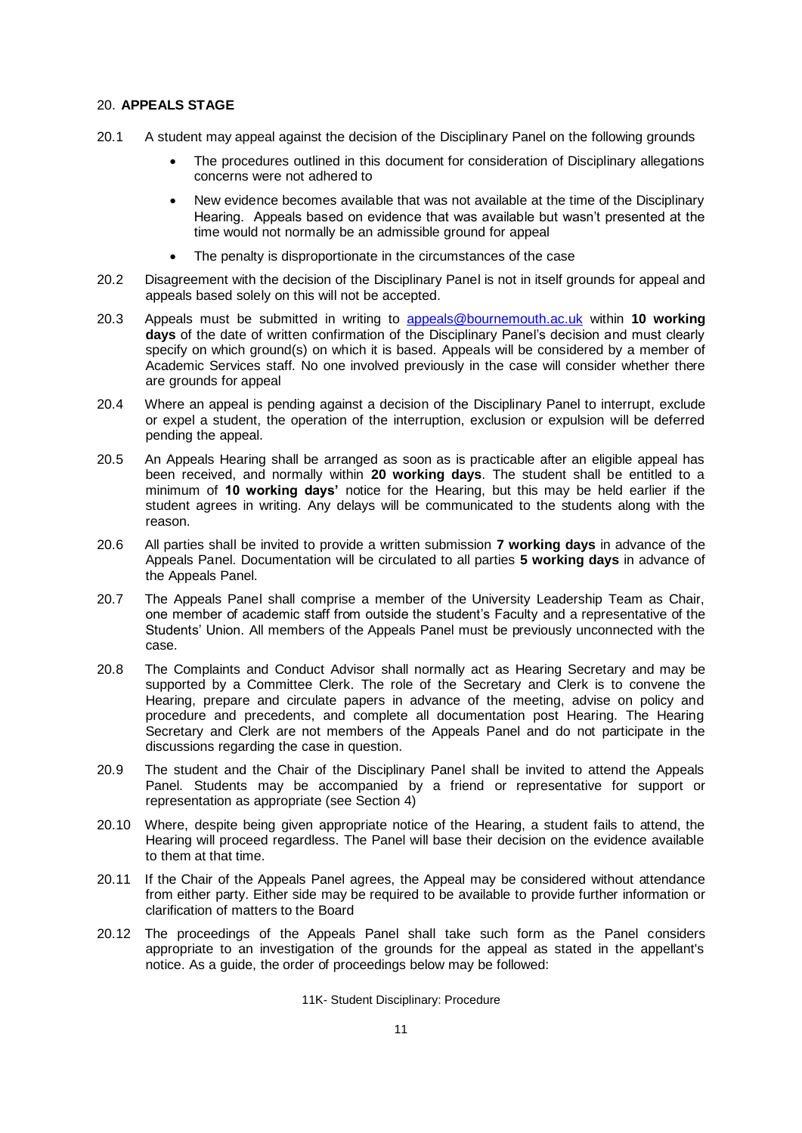#### 20. **APPEALS STAGE**

- 20.1 A student may appeal against the decision of the Disciplinary Panel on the following grounds
	- The procedures outlined in this document for consideration of Disciplinary allegations concerns were not adhered to
	- New evidence becomes available that was not available at the time of the Disciplinary Hearing. Appeals based on evidence that was available but wasn't presented at the time would not normally be an admissible ground for appeal
	- The penalty is disproportionate in the circumstances of the case
- 20.2 Disagreement with the decision of the Disciplinary Panel is not in itself grounds for appeal and appeals based solely on this will not be accepted.
- 20.3 Appeals must be submitted in writing to [appeals@bournemouth.ac.uk](mailto:appeals@bournemouth.ac.uk) within **10 working days** of the date of written confirmation of the Disciplinary Panel's decision and must clearly specify on which ground(s) on which it is based. Appeals will be considered by a member of Academic Services staff. No one involved previously in the case will consider whether there are grounds for appeal
- 20.4 Where an appeal is pending against a decision of the Disciplinary Panel to interrupt, exclude or expel a student, the operation of the interruption, exclusion or expulsion will be deferred pending the appeal.
- 20.5 An Appeals Hearing shall be arranged as soon as is practicable after an eligible appeal has been received, and normally within **20 working days**. The student shall be entitled to a minimum of **10 working days'** notice for the Hearing, but this may be held earlier if the student agrees in writing. Any delays will be communicated to the students along with the reason.
- 20.6 All parties shall be invited to provide a written submission **7 working days** in advance of the Appeals Panel. Documentation will be circulated to all parties **5 working days** in advance of the Appeals Panel.
- 20.7 The Appeals Panel shall comprise a member of the University Leadership Team as Chair, one member of academic staff from outside the student's Faculty and a representative of the Students' Union. All members of the Appeals Panel must be previously unconnected with the case.
- 20.8 The Complaints and Conduct Advisor shall normally act as Hearing Secretary and may be supported by a Committee Clerk. The role of the Secretary and Clerk is to convene the Hearing, prepare and circulate papers in advance of the meeting, advise on policy and procedure and precedents, and complete all documentation post Hearing. The Hearing Secretary and Clerk are not members of the Appeals Panel and do not participate in the discussions regarding the case in question.
- 20.9 The student and the Chair of the Disciplinary Panel shall be invited to attend the Appeals Panel. Students may be accompanied by a friend or representative for support or representation as appropriate (see Section 4)
- 20.10 Where, despite being given appropriate notice of the Hearing, a student fails to attend, the Hearing will proceed regardless. The Panel will base their decision on the evidence available to them at that time.
- 20.11 If the Chair of the Appeals Panel agrees, the Appeal may be considered without attendance from either party. Either side may be required to be available to provide further information or clarification of matters to the Board
- 20.12 The proceedings of the Appeals Panel shall take such form as the Panel considers appropriate to an investigation of the grounds for the appeal as stated in the appellant's notice. As a guide, the order of proceedings below may be followed: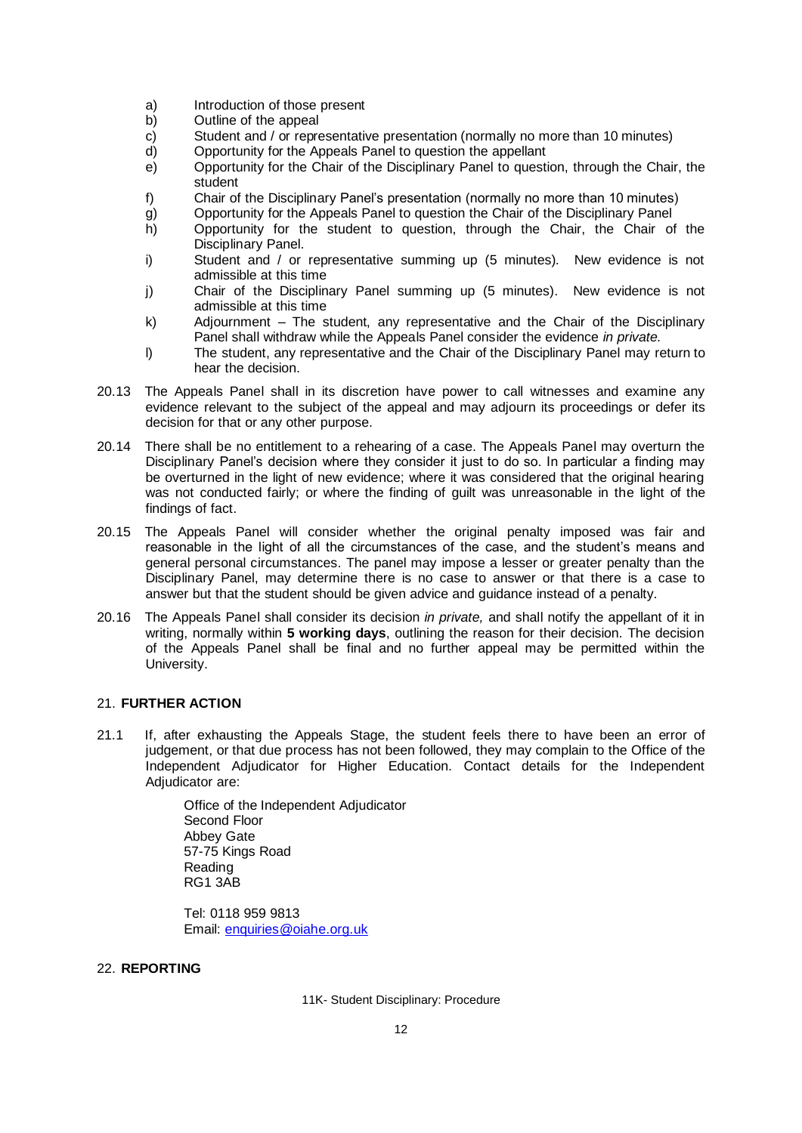- a) Introduction of those present
- b) Outline of the appeal
- c) Student and / or representative presentation (normally no more than 10 minutes)
- d) Opportunity for the Appeals Panel to question the appellant
- e) Opportunity for the Chair of the Disciplinary Panel to question, through the Chair, the student
- f) Chair of the Disciplinary Panel's presentation (normally no more than 10 minutes)
- g) Opportunity for the Appeals Panel to question the Chair of the Disciplinary Panel
- h) Opportunity for the student to question, through the Chair, the Chair of the Disciplinary Panel.
- i) Student and / or representative summing up (5 minutes). New evidence is not admissible at this time
- j) Chair of the Disciplinary Panel summing up (5 minutes). New evidence is not admissible at this time
- k) Adjournment The student, any representative and the Chair of the Disciplinary Panel shall withdraw while the Appeals Panel consider the evidence *in private.*
- l) The student, any representative and the Chair of the Disciplinary Panel may return to hear the decision.
- 20.13 The Appeals Panel shall in its discretion have power to call witnesses and examine any evidence relevant to the subject of the appeal and may adjourn its proceedings or defer its decision for that or any other purpose.
- 20.14 There shall be no entitlement to a rehearing of a case. The Appeals Panel may overturn the Disciplinary Panel's decision where they consider it just to do so. In particular a finding may be overturned in the light of new evidence; where it was considered that the original hearing was not conducted fairly; or where the finding of guilt was unreasonable in the light of the findings of fact.
- 20.15 The Appeals Panel will consider whether the original penalty imposed was fair and reasonable in the light of all the circumstances of the case, and the student's means and general personal circumstances. The panel may impose a lesser or greater penalty than the Disciplinary Panel, may determine there is no case to answer or that there is a case to answer but that the student should be given advice and guidance instead of a penalty.
- 20.16 The Appeals Panel shall consider its decision *in private,* and shall notify the appellant of it in writing, normally within **5 working days**, outlining the reason for their decision. The decision of the Appeals Panel shall be final and no further appeal may be permitted within the University.

# 21. **FURTHER ACTION**

21.1 If, after exhausting the Appeals Stage, the student feels there to have been an error of judgement, or that due process has not been followed, they may complain to the Office of the Independent Adjudicator for Higher Education. Contact details for the Independent Adjudicator are:

> Office of the Independent Adjudicator Second Floor Abbey Gate 57-75 Kings Road Reading RG1 3AB

Tel: 0118 959 9813 Email: [enquiries@oiahe.org.uk](mailto:enquiries@oiahe.org.uk)

#### 22. **REPORTING**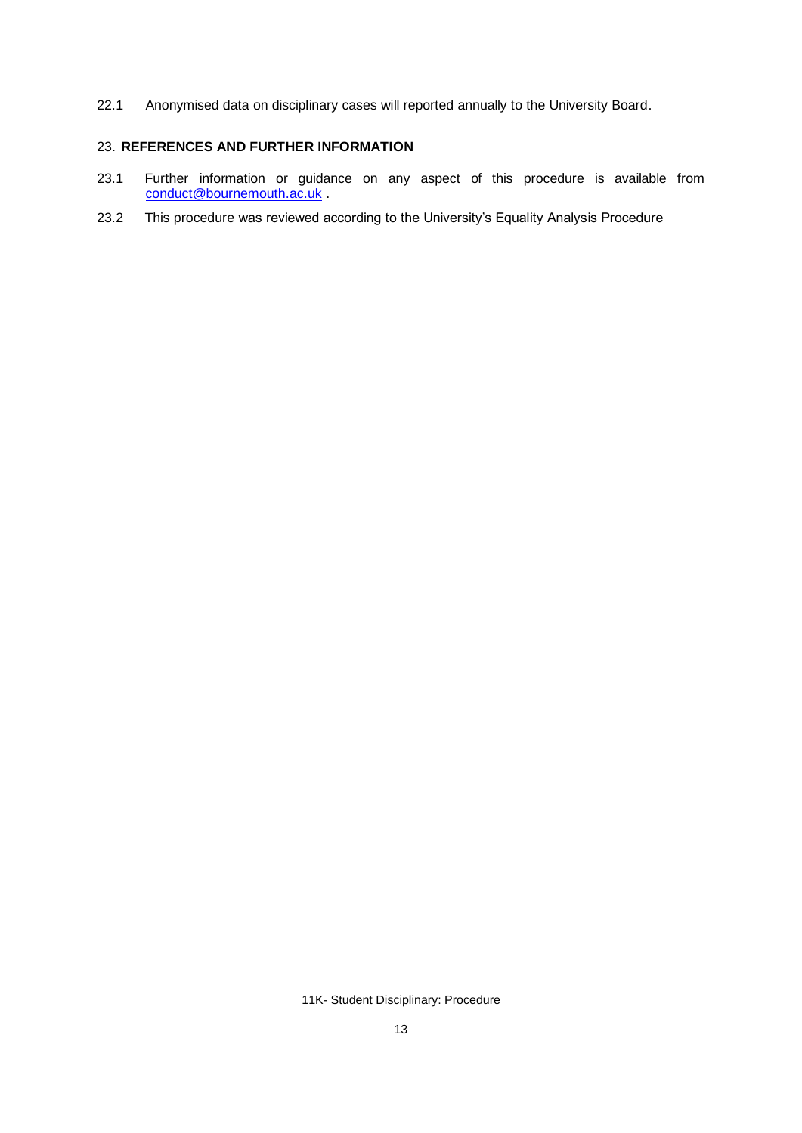22.1 Anonymised data on disciplinary cases will reported annually to the University Board.

# 23. **REFERENCES AND FURTHER INFORMATION**

- 23.1 Further information or guidance on any aspect of this procedure is available from [conduct@bournemouth.ac.uk](mailto:conduct@bournemouth.ac.uk).
- 23.2 This procedure was reviewed according to the University's Equality Analysis Procedure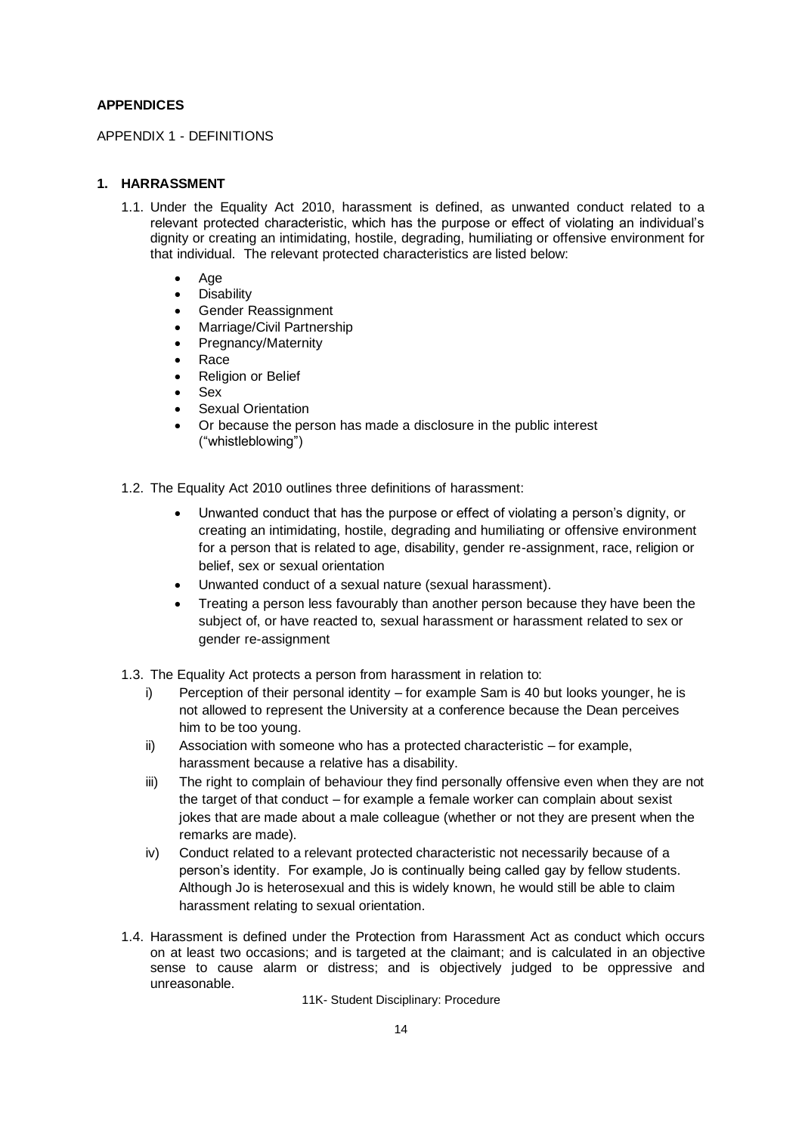## **APPENDICES**

APPENDIX 1 - DEFINITIONS

## **1. HARRASSMENT**

- 1.1. Under the Equality Act 2010, harassment is defined, as unwanted conduct related to a relevant protected characteristic, which has the purpose or effect of violating an individual's dignity or creating an intimidating, hostile, degrading, humiliating or offensive environment for that individual. The relevant protected characteristics are listed below:
	- Age
	- **Disability**
	- Gender Reassignment
	- Marriage/Civil Partnership
	- Pregnancy/Maternity
	- Race
	- Religion or Belief
	- Sex
	- **Sexual Orientation**
	- Or because the person has made a disclosure in the public interest ("whistleblowing")
- 1.2. The Equality Act 2010 outlines three definitions of harassment:
	- Unwanted conduct that has the purpose or effect of violating a person's dignity, or creating an intimidating, hostile, degrading and humiliating or offensive environment for a person that is related to age, disability, gender re-assignment, race, religion or belief, sex or sexual orientation
	- Unwanted conduct of a sexual nature (sexual harassment).
	- Treating a person less favourably than another person because they have been the subject of, or have reacted to, sexual harassment or harassment related to sex or gender re-assignment
- 1.3. The Equality Act protects a person from harassment in relation to:
	- i) Perception of their personal identity for example Sam is 40 but looks younger, he is not allowed to represent the University at a conference because the Dean perceives him to be too young.
	- ii) Association with someone who has a protected characteristic for example, harassment because a relative has a disability.
	- iii) The right to complain of behaviour they find personally offensive even when they are not the target of that conduct – for example a female worker can complain about sexist jokes that are made about a male colleague (whether or not they are present when the remarks are made).
	- iv) Conduct related to a relevant protected characteristic not necessarily because of a person's identity. For example, Jo is continually being called gay by fellow students. Although Jo is heterosexual and this is widely known, he would still be able to claim harassment relating to sexual orientation.
- 1.4. Harassment is defined under the Protection from Harassment Act as conduct which occurs on at least two occasions; and is targeted at the claimant; and is calculated in an objective sense to cause alarm or distress; and is objectively judged to be oppressive and unreasonable.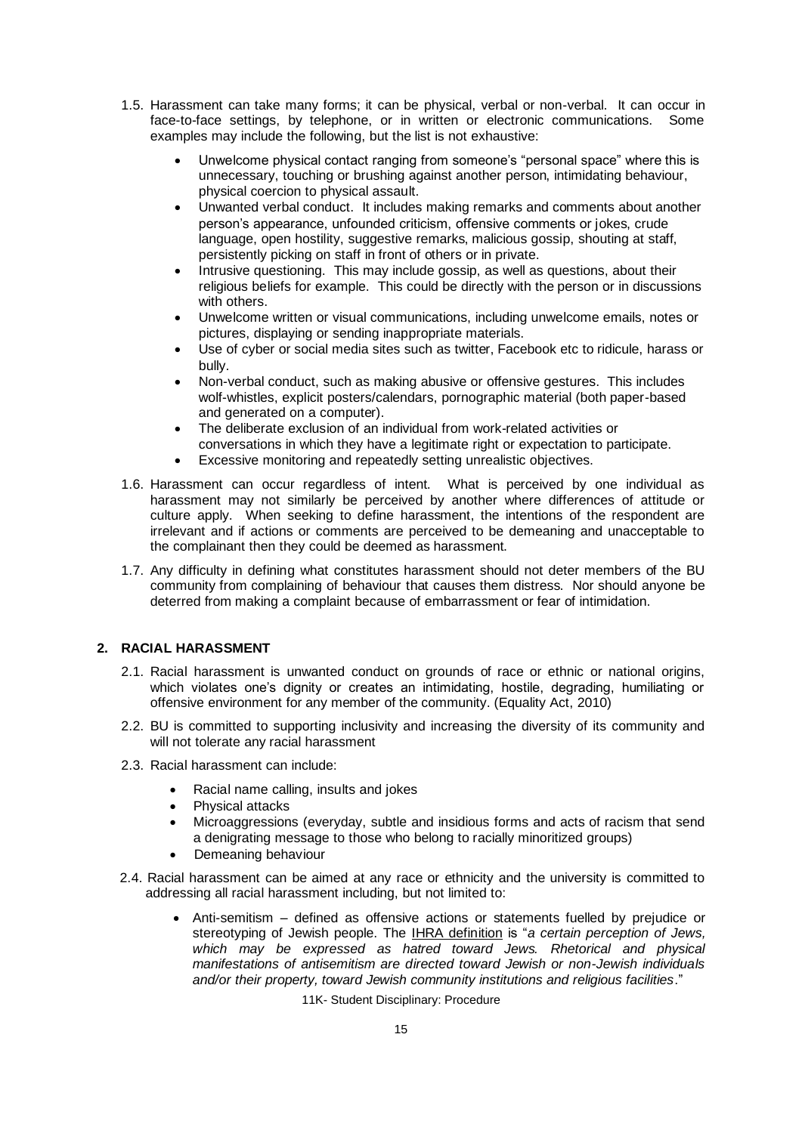- 1.5. Harassment can take many forms; it can be physical, verbal or non-verbal. It can occur in face-to-face settings, by telephone, or in written or electronic communications. Some examples may include the following, but the list is not exhaustive:
	- Unwelcome physical contact ranging from someone's "personal space" where this is unnecessary, touching or brushing against another person, intimidating behaviour, physical coercion to physical assault.
	- Unwanted verbal conduct. It includes making remarks and comments about another person's appearance, unfounded criticism, offensive comments or jokes, crude language, open hostility, suggestive remarks, malicious gossip, shouting at staff, persistently picking on staff in front of others or in private.
	- Intrusive questioning. This may include gossip, as well as questions, about their religious beliefs for example. This could be directly with the person or in discussions with others.
	- Unwelcome written or visual communications, including unwelcome emails, notes or pictures, displaying or sending inappropriate materials.
	- Use of cyber or social media sites such as twitter, Facebook etc to ridicule, harass or bully.
	- Non-verbal conduct, such as making abusive or offensive gestures. This includes wolf-whistles, explicit posters/calendars, pornographic material (both paper-based and generated on a computer).
	- The deliberate exclusion of an individual from work-related activities or conversations in which they have a legitimate right or expectation to participate.
	- Excessive monitoring and repeatedly setting unrealistic objectives.
- 1.6. Harassment can occur regardless of intent. What is perceived by one individual as harassment may not similarly be perceived by another where differences of attitude or culture apply. When seeking to define harassment, the intentions of the respondent are irrelevant and if actions or comments are perceived to be demeaning and unacceptable to the complainant then they could be deemed as harassment.
- 1.7. Any difficulty in defining what constitutes harassment should not deter members of the BU community from complaining of behaviour that causes them distress. Nor should anyone be deterred from making a complaint because of embarrassment or fear of intimidation.

# **2. RACIAL HARASSMENT**

- 2.1. Racial harassment is unwanted conduct on grounds of race or ethnic or national origins, which violates one's dignity or creates an intimidating, hostile, degrading, humiliating or offensive environment for any member of the community. (Equality Act, 2010)
- 2.2. BU is committed to supporting inclusivity and increasing the diversity of its community and will not tolerate any racial harassment
- 2.3. Racial harassment can include:
	- Racial name calling, insults and jokes
	- Physical attacks
	- Microaggressions (everyday, subtle and insidious forms and acts of racism that send a denigrating message to those who belong to racially minoritized groups)
	- Demeaning behaviour
- 2.4. Racial harassment can be aimed at any race or ethnicity and the university is committed to addressing all racial harassment including, but not limited to:
	- Anti-semitism defined as offensive actions or statements fuelled by prejudice or stereotyping of Jewish people. The [IHRA definition](https://www.holocaustremembrance.com/resources/working-definitions-charters/working-definition-antisemitism) is "*a certain perception of Jews, which may be expressed as hatred toward Jews. Rhetorical and physical manifestations of antisemitism are directed toward Jewish or non-Jewish individuals and/or their property, toward Jewish community institutions and religious facilities*."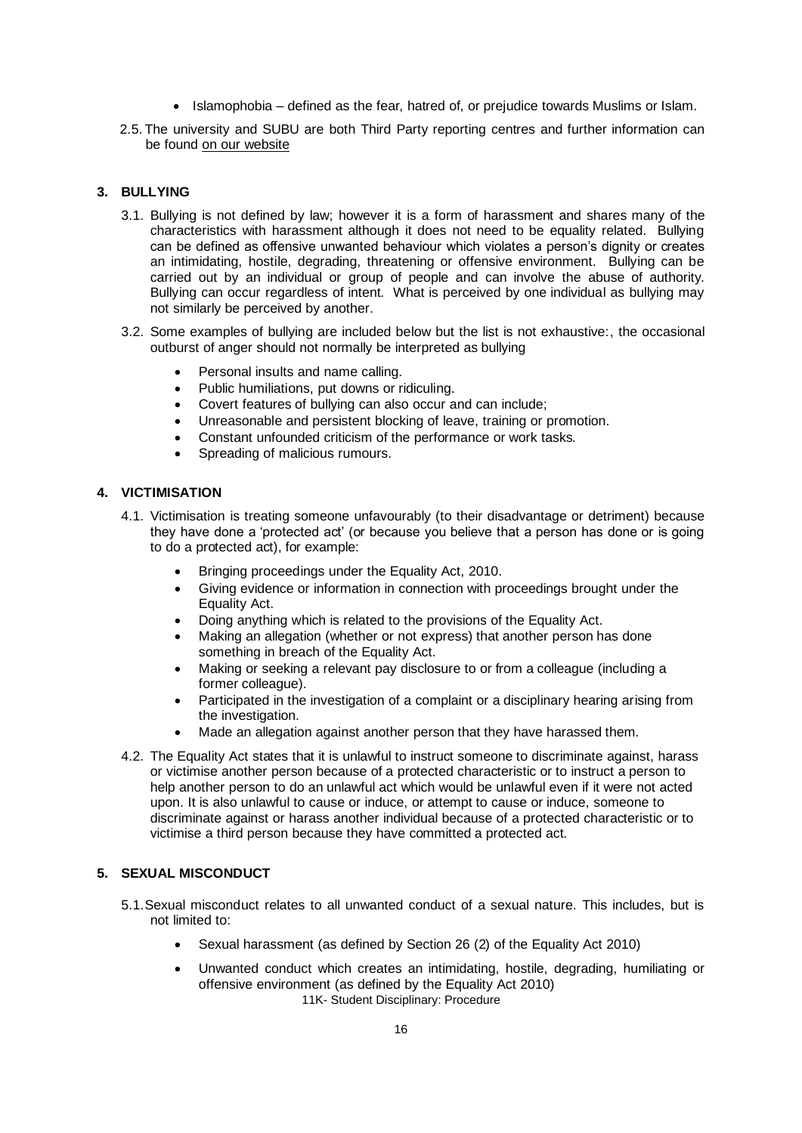- Islamophobia defined as the fear, hatred of, or prejudice towards Muslims or Islam.
- 2.5. The university and SUBU are both Third Party reporting centres and further information can be foun[d on our website](https://www.bournemouth.ac.uk/students/help-advice/safety-personal-security/hate-crimes-or-incidents)

## **3. BULLYING**

- 3.1. Bullying is not defined by law; however it is a form of harassment and shares many of the characteristics with harassment although it does not need to be equality related. Bullying can be defined as offensive unwanted behaviour which violates a person's dignity or creates an intimidating, hostile, degrading, threatening or offensive environment. Bullying can be carried out by an individual or group of people and can involve the abuse of authority. Bullying can occur regardless of intent. What is perceived by one individual as bullying may not similarly be perceived by another.
- 3.2. Some examples of bullying are included below but the list is not exhaustive:, the occasional outburst of anger should not normally be interpreted as bullying
	- Personal insults and name calling.
	- Public humiliations, put downs or ridiculing.
	- Covert features of bullying can also occur and can include;
	- Unreasonable and persistent blocking of leave, training or promotion.
	- Constant unfounded criticism of the performance or work tasks.
	- Spreading of malicious rumours.

## **4. VICTIMISATION**

- 4.1. Victimisation is treating someone unfavourably (to their disadvantage or detriment) because they have done a 'protected act' (or because you believe that a person has done or is going to do a protected act), for example:
	- Bringing proceedings under the Equality Act, 2010.
	- Giving evidence or information in connection with proceedings brought under the Equality Act.
	- Doing anything which is related to the provisions of the Equality Act.
	- Making an allegation (whether or not express) that another person has done something in breach of the Equality Act.
	- Making or seeking a relevant pay disclosure to or from a colleague (including a former colleague).
	- Participated in the investigation of a complaint or a disciplinary hearing arising from the investigation.
	- Made an allegation against another person that they have harassed them.
- 4.2. The Equality Act states that it is unlawful to instruct someone to discriminate against, harass or victimise another person because of a protected characteristic or to instruct a person to help another person to do an unlawful act which would be unlawful even if it were not acted upon. It is also unlawful to cause or induce, or attempt to cause or induce, someone to discriminate against or harass another individual because of a protected characteristic or to victimise a third person because they have committed a protected act.

#### **5. SEXUAL MISCONDUCT**

- 5.1.Sexual misconduct relates to all unwanted conduct of a sexual nature. This includes, but is not limited to:
	- Sexual harassment (as defined by Section 26 (2) of the Equality Act 2010)
	- 11K- Student Disciplinary: Procedure • Unwanted conduct which creates an intimidating, hostile, degrading, humiliating or offensive environment (as defined by the Equality Act 2010)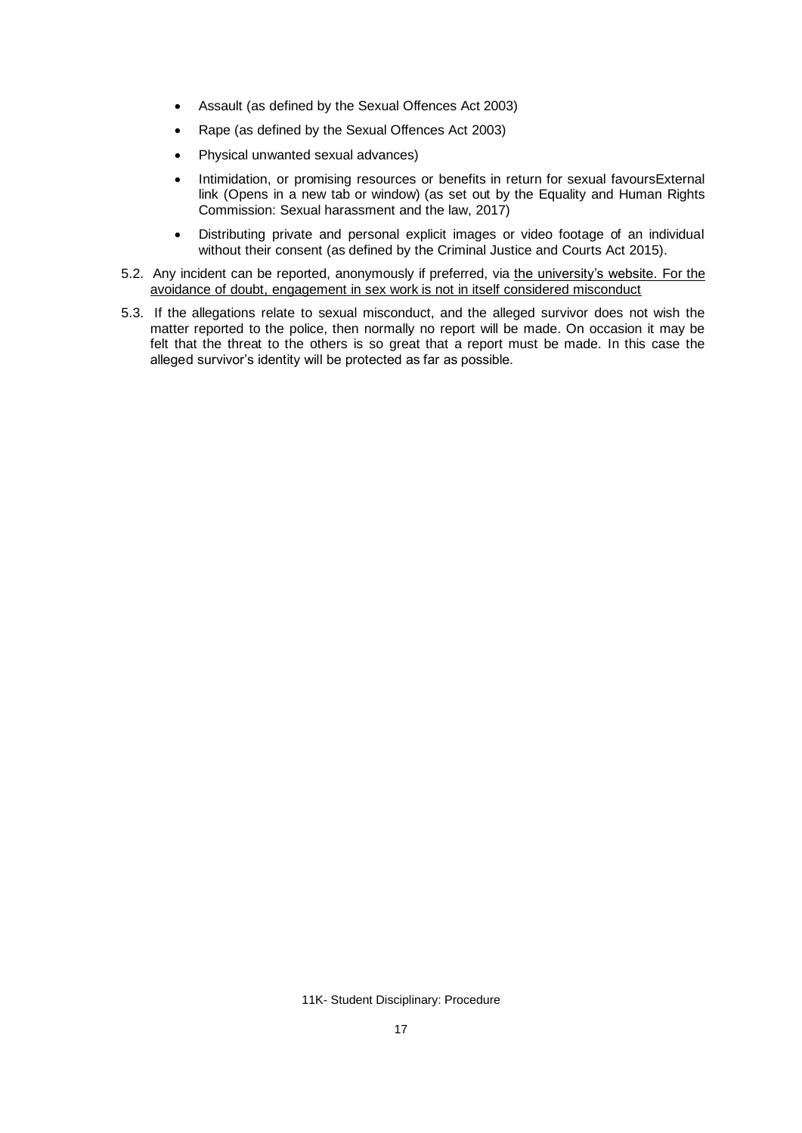- Assault (as defined by the Sexual Offences Act 2003)
- Rape (as defined by the Sexual Offences Act 2003)
- [Physical unwanted sexual advances\)](https://www.equalityhumanrights.com/sites/default/files/sexual-harassment-and-the-law-guidance-for-employers.pdf)
- [Intimidation, or promising resources or benefits in return for sexual favoursExternal](http://www.equalityhumanrights.com/en/publication-download/sexual-harassment-and-harassment-work-technical-guidance)  [link \(Opens in a new tab or window\)](http://www.equalityhumanrights.com/en/publication-download/sexual-harassment-and-harassment-work-technical-guidance) (as set out by the Equality and Human Rights Commission: Sexual harassment and the law, 2017)
- Distributing private and personal explicit images or video footage of an individual without their consent (as defined by the Criminal Justice and Courts Act 2015).
- 5.2. Any incident can be reported, anonymously if preferred, via [the university's website.](https://www.bournemouth.ac.uk/students/help-advice/safety-personal-security/sexual-assault-harassment) For the avoidance of doubt, engagement in sex work is not in itself considered misconduct
- 5.3. If the allegations relate to sexual misconduct, and the alleged survivor does not wish the matter reported to the police, then normally no report will be made. On occasion it may be felt that the threat to the others is so great that a report must be made. In this case the alleged survivor's identity will be protected as far as possible.